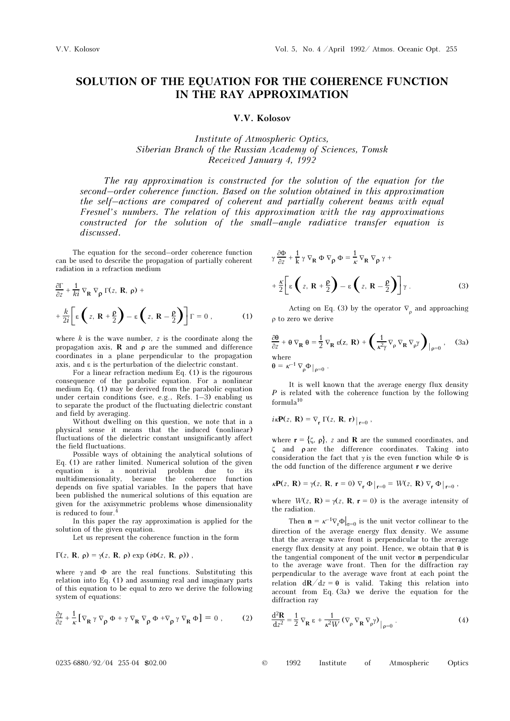## SOLUTION OF THE EQUATION FOR THE COHERENCE FUNCTION IN THE RAY APPROXIMATION

## V.V. Kolosov

Institute of Atmospheric Optics, Siberian Branch of the Russian Academy of Sciences, Tomsk Received January 4, 1992

The ray approximation is constructed for the solution of the equation for the second–order coherence function. Based on the solution obtained in this approximation the self–actions are compared of coherent and partially coherent beams with equal Fresnel's numbers. The relation of this approximation with the ray approximations constructed for the solution of the small–angle radiative transfer equation is discussed.

The equation for the second–order coherence function can be used to describe the propagation of partially coherent radiation in a refraction medium

$$
\frac{\partial \Gamma}{\partial z} + \frac{1}{ki} \nabla_{\mathbf{R}} \nabla_{\rho} \Gamma(z, \mathbf{R}, \rho) + \n+ \frac{k}{2i} \left[ \varepsilon \left( z, \mathbf{R} + \frac{\rho}{2} \right) - \varepsilon \left( z, \mathbf{R} - \frac{\rho}{2} \right) \right] \Gamma = 0 , \qquad (1)
$$

where  $k$  is the wave number,  $z$  is the coordinate along the propagation axis, **R** and  $\rho$  are the summed and difference coordinates in a plane perpendicular to the propagation axis, and ε is the perturbation of the dielectric constant.

For a linear refraction medium Eq. (1) is the rigourous consequence of the parabolic equation. For a nonlinear medium Eq. (1) may be derived from the parabolic equation under certain conditions (see, e.g., Refs. 1–3) enabling us to separate the product of the fluctuating dielectric constant and field by averaging.

Without dwelling on this question, we note that in a physical sense it means that the induced (nonlinear) fluctuations of the dielectric constant unsignificantly affect the field fluctuations.

Possible ways of obtaining the analytical solutions of Eq. (1) are rather limited. Numerical solution of the given equation is a nontrivial problem due to its multidimensionality, because the coherence function depends on five spatial variables. In the papers that have been published the numerical solutions of this equation are given for the axisymmetric problems whose dimensionality is reduced to four.<sup>4</sup>

In this paper the ray approximation is applied for the solution of the given equation.

Let us represent the coherence function in the form

## $Γ(z, R, ρ) = γ(z, R, ρ) \exp(iφ(z, R, ρ))$ ,

where  $\gamma$  and  $\Phi$  are the real functions. Substituting this relation into Eq. (1) and assuming real and imaginary parts of this equation to be equal to zero we derive the following system of equations:

$$
\frac{\partial \gamma}{\partial z} + \frac{1}{\kappa} \left[ \nabla_{\mathbf{R}} \gamma \nabla_{\rho} \Phi + \gamma \nabla_{\mathbf{R}} \nabla_{\rho} \Phi + \nabla_{\rho} \gamma \nabla_{\mathbf{R}} \Phi \right] = 0 , \qquad (2)
$$

$$
\gamma \frac{\partial \Phi}{\partial z} + \frac{1}{k} \gamma \nabla_{\mathbf{R}} \Phi \nabla_{\rho} \Phi = \frac{1}{\kappa} \nabla_{\mathbf{R}} \nabla_{\rho} \gamma + + \frac{\kappa}{2} \bigg[ \varepsilon \left( z, \mathbf{R} + \frac{\rho}{2} \right) - \varepsilon \left( z, \mathbf{R} - \frac{\rho}{2} \right) \bigg] \gamma .
$$
 (3)

Acting on Eq. (3) by the operator  $\nabla$ <sub>0</sub> and approaching ρ to zero we derive

$$
\frac{\partial \theta}{\partial z} + \theta \nabla_{\mathbf{R}} \theta = \frac{1}{2} \nabla_{\mathbf{R}} \varepsilon(z, \mathbf{R}) + \left( \frac{1}{\kappa^2 \gamma} \nabla_{\rho} \nabla_{\mathbf{R}} \nabla_{\rho} \gamma \right)_{|\rho=0}, \quad \text{(3a)}
$$
\nwhere\n
$$
\theta = \kappa^{-1} \nabla_{\rho} \Phi|_{\rho=0}.
$$

It is well known that the average energy flux density P is related with the coherence function by the following formula<sup>10</sup>

$$
i \kappa \mathbf{P}(z, \mathbf{R}) = \nabla_{\mathbf{r}} \Gamma(z, \mathbf{R}, \mathbf{r}) \big|_{\mathbf{r} = 0},
$$

where  $\mathbf{r} = \{\zeta, \rho\}$ , z and **R** are the summed coordinates, and ζ and ρ are the difference coordinates. Taking into consideration the fact that  $\gamma$  is the even function while  $\Phi$  is the odd function of the difference argument r we derive

$$
k\mathbf{P}(z,\mathbf{R}) = \gamma(z,\mathbf{R},\mathbf{r} = 0) \nabla_{\mathbf{r}} \Phi\big|_{\mathbf{r} = 0} = W(z,\mathbf{R}) \nabla_{\mathbf{r}} \Phi\big|_{\mathbf{r} = 0},
$$

where  $W(z, \mathbf{R}) = \gamma(z, \mathbf{R}, \mathbf{r} = 0)$  is the average intensity of the radiation.

Then  $\mathbf{n} = \kappa^{-1} \nabla_{\mathbf{r}} \Phi \big|_{\sigma = 0}$  is the unit vector collinear to the direction of the average energy flux density. We assume that the average wave front is perpendicular to the average energy flux density at any point. Hence, we obtain that  $\theta$  is the tangential component of the unit vector n perpendicular to the average wave front. Then for the diffraction ray perpendicular to the average wave front at each point the relation  $d\mathbf{R}/dz = \mathbf{\theta}$  is valid. Taking this relation into account from Eq. (3a) we derive the equation for the diffraction ray

$$
\frac{\mathrm{d}^2 \mathbf{R}}{\mathrm{d} z^2} = \frac{1}{2} \nabla_{\mathbf{R}} \varepsilon + \frac{1}{\kappa^2 W} (\nabla_{\rho} \nabla_{\mathbf{R}} \nabla_{\rho} \gamma) \Big|_{\rho=0} .
$$
 (4)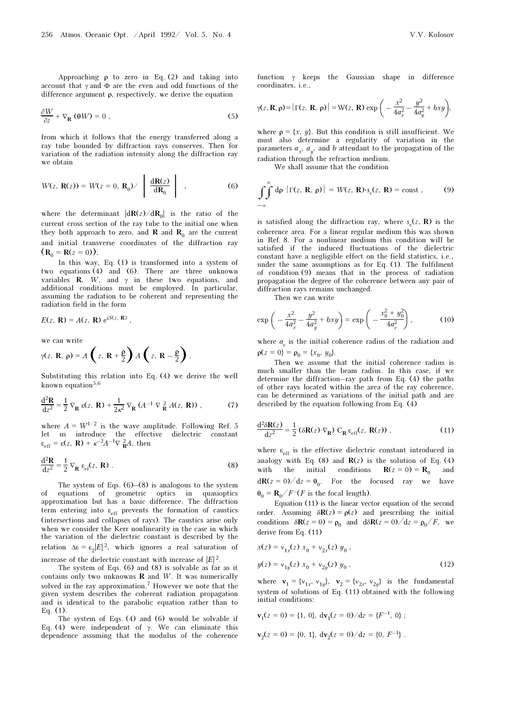Approaching  $\rho$  to zero in Eq. (2) and taking into account that  $\gamma$  and  $\Phi$  are the even and odd functions of the difference argument  $\rho$ , respectively, we derive the equation

$$
\frac{\partial W}{\partial z} + \nabla_{\mathbf{R}} (\theta W) = 0 \tag{5}
$$

from which it follows that the energy transferred along a ray tube bounded by diffraction rays conserves. Then for variation of the radiation intensity along the diffraction ray we obtain

$$
W(z, \mathbf{R}(z)) = W(z = 0, \mathbf{R}_0) / \left| \frac{d\mathbf{R}(z)}{d\mathbf{R}_0} \right| , \qquad (6)
$$

where the determinant  $|d\mathbf{R}(z)/d\mathbf{R}_0|$  is the ratio of the current cross section of the ray tube to the initial one when they both approach to zero, and **R** and **R**<sub>0</sub> are the current and initial transverse coordinates of the diffraction ray  $(R_0 = R(z = 0)).$ 

In this way, Eq. (1) is transformed into a system of two equations (4) and (6). There are three unknown variables  $\mathbf{R}$ ,  $W$ , and  $\gamma$  in these two equations, and additional conditions must be employed. In particular, assuming the radiation to be coherent and representing the radiation field in the form

$$
E(z, \mathbf{R}) = A(z, \mathbf{R}) e^{iS(z, \mathbf{R})},
$$

we can write

$$
\gamma(z, \mathbf{R}, \rho) = A\left(z, \mathbf{R} + \frac{\rho}{2}\right) A\left(z, \mathbf{R} - \frac{\rho}{2}\right).
$$

Substituting this relation into Eq. (4) we derive the well known equation $5,6$ 

$$
\frac{\mathrm{d}^2 \mathbf{R}}{\mathrm{d}z^2} = \frac{1}{2} \nabla_{\mathbf{R}} \mathbf{g}(z, \mathbf{R}) + \frac{1}{2\kappa^2} \nabla_{\mathbf{R}} (A^{-1} \nabla \frac{2}{\mathbf{R}} A(z, \mathbf{R})) , \qquad (7)
$$

where  $A = W^{1/2}$  is the wave amplitude. Following Ref. 5 let us introduce the effective dielectric constant  $\varepsilon_{\text{eff}} = \varepsilon(z, \mathbf{R}) + \kappa^{-2} A^{-1} \nabla \frac{2}{\mathbf{R}} A$ , then

$$
\frac{\mathrm{d}^2 \mathbf{R}}{\mathrm{d} z^2} = \frac{1}{2} \nabla_{\mathbf{R}} \varepsilon_{\mathrm{ef}}(z, \mathbf{R}) \ . \tag{8}
$$

The system of Eqs.  $(6)$ – $(8)$  is analogous to the system of equations of geometric optics in quasioptics approximation but has a basic difference. The diffraction term entering into  $\varepsilon_{\text{eff}}$  prevents the formation of caustics (intersections and collapses of rays). The caustics arise only when we consider the Kerr nonlinearity in the case in which the variation of the dielectric constant is described by the relation  $\Delta \varepsilon = \varepsilon_2 |E|^2$ , which ignores a real saturation of increase of the dielectric constant with increase of  $|E|^2$ .

The system of Eqs. (6) and (8) is solvable as far as it contains only two unknowns  **and**  $W$ **. It was numerically** solved in the ray approximation.7 However we note that the given system describes the coherent radiation propagation and is identical to the parabolic equation rather than to Eq. (1).

The system of Eqs. (4) and (6) would be solvable if Eq. (4) were independent of γ. We can eliminate this dependence assuming that the modulus of the coherence

function  $\gamma$  keeps the Gaussian shape in difference coordinates, i.e.,

$$
\gamma(z, \mathbf{R}, \rho) = |\Gamma(z, \mathbf{R}, \rho)| = W(z, \mathbf{R}) \exp\left(-\frac{x^2}{4a_x^2} - \frac{y^2}{4a_y^2} + bxy\right),
$$

where  $\rho = \{x, y\}$ . But this condition is still insufficient. We must also determine a regularity of variation in the parameters  $a_x$ ,  $a_y$ , and b attendant to the propagation of the radiation through the refraction medium.

We shall assume that the condition

$$
\int_{-\infty}^{\infty} d\rho \, |\Gamma(z, \, \mathbf{R}, \, \rho)| = W(z, \, \mathbf{R}) \cdot s_c(z, \, \mathbf{R}) = \text{const}, \qquad (9)
$$

is satisfied along the diffraction ray, where  $s_c(z, R)$  is the coherence area. For a linear regular medium this was shown in Ref. 8. For a nonlinear medium this condition will be satisfied if the induced fluctuations of the dielectric constant have a negligible effect on the field statistics, i.e., under the same assumptions as for Eq. (1). The fulfilment of condition (9) means that in the process of radiation propagation the degree of the coherence between any pair of diffraction rays remains unchanged.

Then we can write

$$
\exp\left(-\frac{x^2}{4a_x^2} - \frac{y^2}{4a_y^2} + bxy\right) = \exp\left(-\frac{x_0^2 + y_0^2}{4a_c^2}\right),\tag{10}
$$

where  $a_c$  is the initial coherence radius of the radiation and  $\rho(z = 0) = \rho_0 = \{x_0, y_0\}.$ 

Then we assume that the initial coherence radius is much smaller than the beam radius. In this case, if we determine the diffraction–ray path from Eq. (4) the paths of other rays located within the area of the ray coherence, can be determined as variations of the initial path and are described by the equation following from Eq. (4)

$$
\frac{\mathrm{d}^2 \delta \mathbf{R}(z)}{\mathrm{d}z^2} = \frac{1}{2} \left( \delta \mathbf{R}(z) \cdot \nabla_{\mathbf{R}} \right) \, \mathbf{C}_{\mathbf{R}} \, \boldsymbol{\varepsilon}_{\text{eff}}(z, \, \mathbf{R}(z)) \;, \tag{11}
$$

where  $\varepsilon_{\text{eff}}$  is the effective dielectric constant introduced in analogy with Eq. (8) and  $R(z)$  is the solution of Eq. (4) with the initial conditions  $\mathbf{R}(z=0) = \mathbf{R}_0$  and  $d\mathbf{R}(z=0)/dz = \mathbf{\theta}_0$ . For the focused ray we have  $\theta_0 = \mathbf{R}_0/F^{-}(F)$  is the focal length).

Equation (11) is the linear vector equation of the second order. Assuming  $\delta \mathbf{R}(z) = \rho(z)$  and prescribing the initial conditions  $\delta \mathbf{R}(z=0) = \rho_0$  and  $\frac{d\delta \mathbf{R}(z=0)}{dz} = \frac{\rho_0}{F}$ , we derive from Eq. (11)

$$
x(z) = v_{1x}(z) x_0 + v_{2x}(z) y_0,
$$
  

$$
y(z) = v_{1y}(z) x_0 + v_{2y}(z) y_0,
$$
 (12)

where  $\mathbf{v}_1 = {\mathbf{v}_{1x}, \mathbf{v}_{1y}}, \mathbf{v}_2 = {\mathbf{v}_{2x}, \mathbf{v}_{2y}}$  is the fundamental system of solutions of Eq. (11) obtained with the following initial conditions:

$$
\mathbf{v}_1(z=0) = \{1, 0\}, \ \mathbf{dv}_1(z=0)/dz = \{F^{-1}, 0\} ;
$$
  

$$
\mathbf{v}_2(z=0) = \{0, 1\}, \ \mathbf{dv}_2(z=0)/dz = \{0, F^{-1}\} .
$$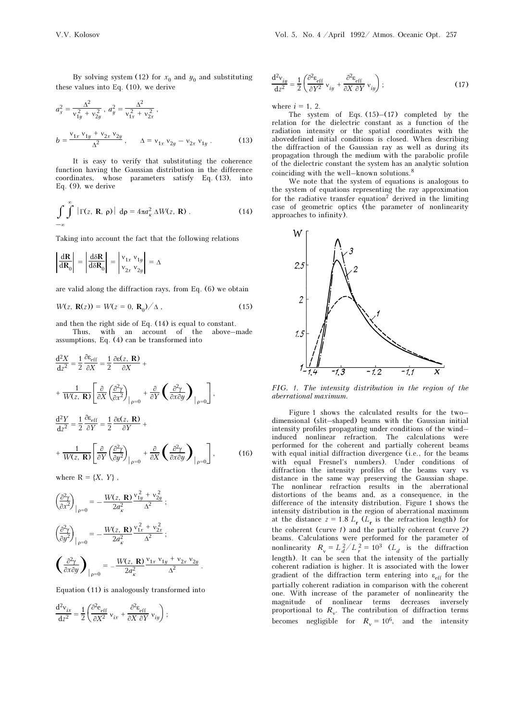By solving system (12) for  $x_0$  and  $y_0$  and substituting these values into Eq. (10), we derive

$$
a_x^2 = \frac{\Delta^2}{v_{1y}^2 + v_{2y}^2}, \quad a_y^2 = \frac{\Delta^2}{v_{1x}^2 + v_{2x}^2},
$$
  

$$
b = \frac{v_{1x} v_{1y} + v_{2x} v_{2y}}{\Delta^2}, \qquad \Delta = v_{1x} v_{2y} - v_{2x} v_{1y}.
$$
 (13)

It is easy to verify that substituting the coherence function having the Gaussian distribution in the difference coordinates, whose parameters satisfy Eq. (13), into Eq. (9), we derive

$$
\int_{-\infty}^{\infty} \int \left| \Gamma(z, \mathbf{R}, \, \rho) \right| \, \mathrm{d}\rho = 4\pi a_x^2 \, \Delta W(z, \, \mathbf{R}) \,. \tag{14}
$$

Taking into account the fact that the following relations

$$
\left|\frac{\mathrm{d}\mathbf{R}}{\mathrm{d}\mathbf{R}_0}\right| = \left|\frac{\mathrm{d}\delta\mathbf{R}}{\mathrm{d}\delta\mathbf{R}_0}\right| = \left|\begin{matrix} v_{1x} & v_{1y} \\ v_{2x} & v_{2y} \end{matrix}\right| = \Delta
$$

are valid along the diffraction rays, from Eq. (6) we obtain

$$
W(z, \mathbf{R}(z)) = W(z = 0, \mathbf{R}_0) / \Delta , \qquad (15)
$$

and then the right side of Eq. (14) is equal to constant. Thus, with an account of the above–made

assumptions, Eq. (4) can be transformed into

$$
\frac{d^2 X}{dz^2} = \frac{1}{2} \frac{\partial \varepsilon_{eff}}{\partial X} = \frac{1}{2} \frac{\partial \varepsilon(z, \mathbf{R})}{\partial X} + \n+ \frac{1}{W(z, \mathbf{R})} \left[ \frac{\partial}{\partial X} \left( \frac{\partial^2 \gamma}{\partial x^2} \right)_{|_{P} = 0} + \frac{\partial}{\partial Y} \left( \frac{\partial^2 \gamma}{\partial x \partial y} \right)_{|_{P} = 0} \right],
$$
\n
$$
\frac{d^2 Y}{dz^2} = \frac{1}{2} \frac{\partial \varepsilon_{eff}}{\partial Y} = \frac{1}{2} \frac{\partial \varepsilon(z, \mathbf{R})}{\partial Y} + \n+ \frac{1}{W(z, \mathbf{R})} \left[ \frac{\partial}{\partial Y} \left( \frac{\partial^2 \gamma}{\partial y^2} \right)_{|_{P} = 0} + \frac{\partial}{\partial X} \left( \frac{\partial^2 \gamma}{\partial x \partial y} \right)_{|_{P} = 0} \right],
$$
\n(16)

where  $R = \{X, Y\}$ ,

$$
\left(\frac{\partial^2 \gamma}{\partial x^2}\right)_{\vert\rho=0} = -\frac{W(z, \mathbf{R})}{2a_{\kappa}^2} \frac{v_{1y}^2 + v_{2y}^2}{\Delta^2};
$$
\n
$$
\left(\frac{\partial^2 \gamma}{\partial y^2}\right)_{\vert\rho=0} = -\frac{W(z, \mathbf{R})}{2a_{\kappa}^2} \frac{v_{1x}^2 + v_{2x}^2}{\Delta^2};
$$
\n
$$
\left(\frac{\partial^2 \gamma}{\partial x \partial y}\right)_{\vert\rho=0} = -\frac{W(z, \mathbf{R})}{2a_{\kappa}^2} \frac{v_{1x}v_{1y} + v_{2x}v_{2y}}{\Delta^2}.
$$

Equation (11) is analogously transformed into

$$
\frac{\mathrm{d}^2 v_{ix}}{\mathrm{d}z^2} = \frac{1}{2} \left( \frac{\partial^2 e_{\rm eff}}{\partial X^2} v_{ix} + \frac{\partial^2 e_{\rm eff}}{\partial X \partial Y} v_{iy} \right);
$$

$$
\frac{d^2v_{iy}}{dz^2} = \frac{1}{2} \left( \frac{\partial^2 \varepsilon_{eff}}{\partial Y^2} v_{iy} + \frac{\partial^2 \varepsilon_{eff}}{\partial X \partial Y} v_{iy} \right);
$$
 (17)

where  $i = 1, 2$ .

The system of Eqs.  $(15)$ – $(17)$  completed by the relation for the dielectric constant as a function of the radiation intensity or the spatial coordinates with the abovedefined initial conditions is closed. When describing the diffraction of the Gaussian ray as well as during its propagation through the medium with the parabolic profile of the dielectric constant the system has an analytic solution coinciding with the well–known solutions.<sup>8</sup>

We note that the system of equations is analogous to the system of equations representing the ray approximation for the radiative transfer equation<sup>7</sup> derived in the limiting case of geometric optics (the parameter of nonlinearity approaches to infinity).



FIG. 1. The intensity distribution in the region of the aberrational maximum.

Figure 1 shows the calculated results for the two– dimensional (slit–shaped) beams with the Gaussian initial intensity profiles propagating under conditions of the wind– induced nonlinear refraction. The calculations were performed for the coherent and partially coherent beams with equal initial diffraction divergence (i.e., for the beams with equal Fresnel's numbers). Under conditions of diffraction the intensity profiles of the beams vary vs distance in the same way preserving the Gaussian shape. The nonlinear refraction results in the aberrational distortions of the beams and, as a consequence, in the difference of the intensity distribution. Figure 1 shows the intensity distribution in the region of aberrational maximum at the distance  $z = 1.8 L_r$  ( $L_r$  is the refraction length) for the coherent (curve  $1$ ) and the partially coherent (curve  $2$ ) beams. Calculations were performed for the parameter of nonlinearity  $R_v = L_d^2/L_r^2 = 10^3$  ( $L_d$  is the diffraction length). It can be seen that the intensity of the partially coherent radiation is higher. It is associated with the lower gradient of the diffraction term entering into  $\varepsilon_{eff}$  for the partially coherent radiation in comparison with the coherent one. With increase of the parameter of nonlinearity the magnitude of nonlinear terms decreases inversely proportional to  $R_v$ . The contribution of diffraction terms becomes negligible for  $R_v = 10^6$ , and the intensity